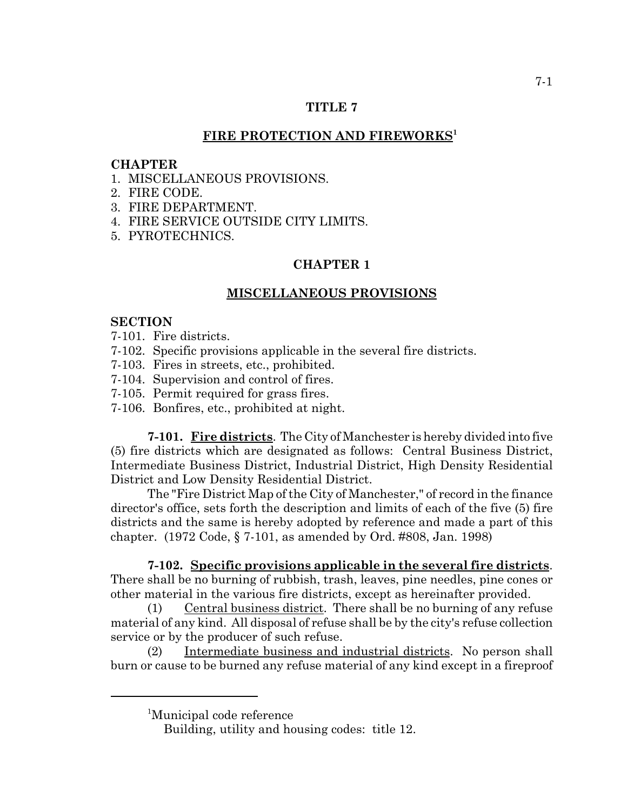# **TITLE 7**

# FIRE PROTECTION AND FIREWORKS<sup>1</sup>

## **CHAPTER**

- 1. MISCELLANEOUS PROVISIONS.
- 2. FIRE CODE.
- 3. FIRE DEPARTMENT.
- 4. FIRE SERVICE OUTSIDE CITY LIMITS.
- 5. PYROTECHNICS.

# **CHAPTER 1**

# **MISCELLANEOUS PROVISIONS**

## **SECTION**

- 7-101. Fire districts.
- 7-102. Specific provisions applicable in the several fire districts.
- 7-103. Fires in streets, etc., prohibited.
- 7-104. Supervision and control of fires.
- 7-105. Permit required for grass fires.
- 7-106. Bonfires, etc., prohibited at night.

**7-101. Fire districts**. The City of Manchester is hereby divided into five (5) fire districts which are designated as follows: Central Business District, Intermediate Business District, Industrial District, High Density Residential District and Low Density Residential District.

The "Fire District Map of the City of Manchester," of record in the finance director's office, sets forth the description and limits of each of the five (5) fire districts and the same is hereby adopted by reference and made a part of this chapter. (1972 Code, § 7-101, as amended by Ord. #808, Jan. 1998)

**7-102. Specific provisions applicable in the several fire districts**. There shall be no burning of rubbish, trash, leaves, pine needles, pine cones or other material in the various fire districts, except as hereinafter provided.

 $(1)$  Central business district. There shall be no burning of any refuse material of any kind. All disposal of refuse shall be by the city's refuse collection service or by the producer of such refuse.

(2) Intermediate business and industrial districts. No person shall burn or cause to be burned any refuse material of any kind except in a fireproof

<sup>1</sup> Municipal code reference

Building, utility and housing codes: title 12.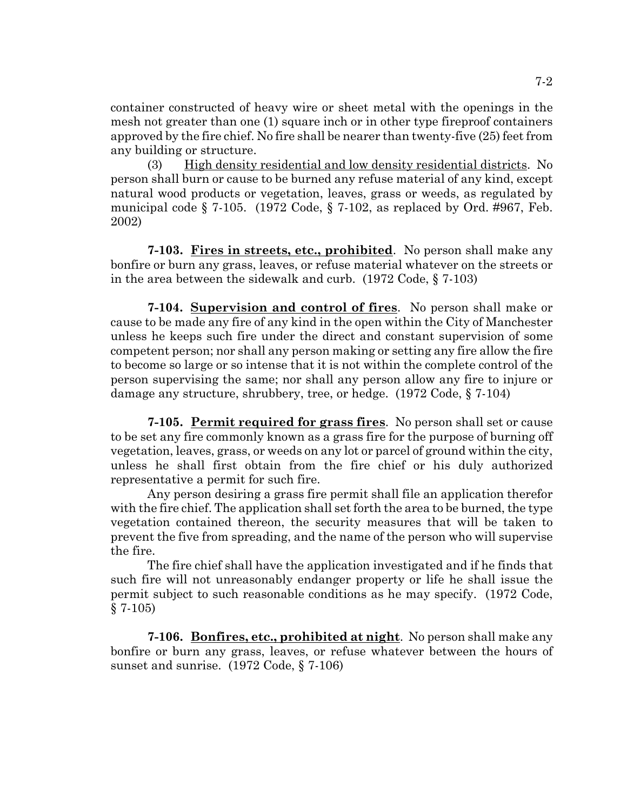container constructed of heavy wire or sheet metal with the openings in the mesh not greater than one (1) square inch or in other type fireproof containers approved by the fire chief. No fire shall be nearer than twenty-five (25) feet from any building or structure.

(3) High density residential and low density residential districts. No person shall burn or cause to be burned any refuse material of any kind, except natural wood products or vegetation, leaves, grass or weeds, as regulated by municipal code  $\S$  7-105. (1972 Code,  $\S$  7-102, as replaced by Ord. #967, Feb. 2002)

**7-103. Fires in streets, etc., prohibited**. No person shall make any bonfire or burn any grass, leaves, or refuse material whatever on the streets or in the area between the sidewalk and curb. (1972 Code, § 7-103)

**7-104. Supervision and control of fires**. No person shall make or cause to be made any fire of any kind in the open within the City of Manchester unless he keeps such fire under the direct and constant supervision of some competent person; nor shall any person making or setting any fire allow the fire to become so large or so intense that it is not within the complete control of the person supervising the same; nor shall any person allow any fire to injure or damage any structure, shrubbery, tree, or hedge. (1972 Code, § 7-104)

**7-105. Permit required for grass fires**. No person shall set or cause to be set any fire commonly known as a grass fire for the purpose of burning off vegetation, leaves, grass, or weeds on any lot or parcel of ground within the city, unless he shall first obtain from the fire chief or his duly authorized representative a permit for such fire.

Any person desiring a grass fire permit shall file an application therefor with the fire chief. The application shall set forth the area to be burned, the type vegetation contained thereon, the security measures that will be taken to prevent the five from spreading, and the name of the person who will supervise the fire.

The fire chief shall have the application investigated and if he finds that such fire will not unreasonably endanger property or life he shall issue the permit subject to such reasonable conditions as he may specify. (1972 Code,  $§ 7-105)$ 

**7-106. Bonfires, etc., prohibited at night**. No person shall make any bonfire or burn any grass, leaves, or refuse whatever between the hours of sunset and sunrise. (1972 Code, § 7-106)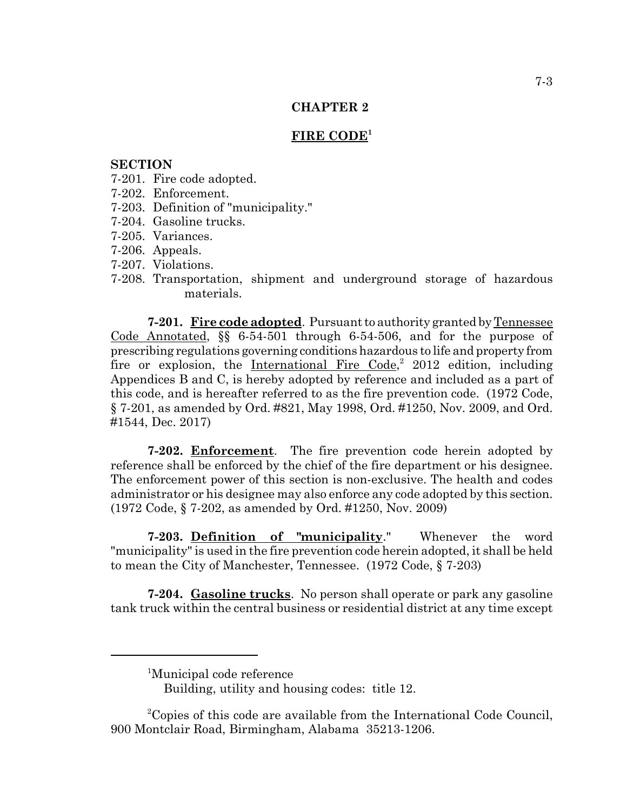#### **FIRE CODE<sup>1</sup>**

## **SECTION**

- 7-201. Fire code adopted.
- 7-202. Enforcement.
- 7-203. Definition of "municipality."
- 7-204. Gasoline trucks.
- 7-205. Variances.
- 7-206. Appeals.
- 7-207. Violations.
- 7-208. Transportation, shipment and underground storage of hazardous materials.

**7-201. Fire code adopted**. Pursuant to authority granted by Tennessee Code Annotated, §§ 6-54-501 through 6-54-506, and for the purpose of prescribing regulations governing conditions hazardous to life and property from fire or explosion, the International Fire Code,<sup>2</sup> 2012 edition, including Appendices B and C, is hereby adopted by reference and included as a part of this code, and is hereafter referred to as the fire prevention code. (1972 Code, § 7-201, as amended by Ord. #821, May 1998, Ord. #1250, Nov. 2009, and Ord. #1544, Dec. 2017)

**7-202. Enforcement**. The fire prevention code herein adopted by reference shall be enforced by the chief of the fire department or his designee. The enforcement power of this section is non-exclusive. The health and codes administrator or his designee may also enforce any code adopted by this section. (1972 Code, § 7-202, as amended by Ord. #1250, Nov. 2009)

**7-203. Definition of "municipality**." Whenever the word "municipality" is used in the fire prevention code herein adopted, it shall be held to mean the City of Manchester, Tennessee. (1972 Code, § 7-203)

**7-204. Gasoline trucks**. No person shall operate or park any gasoline tank truck within the central business or residential district at any time except

<sup>&</sup>lt;sup>1</sup>Municipal code reference

Building, utility and housing codes: title 12.

<sup>&</sup>lt;sup>2</sup>Copies of this code are available from the International Code Council, 900 Montclair Road, Birmingham, Alabama 35213-1206.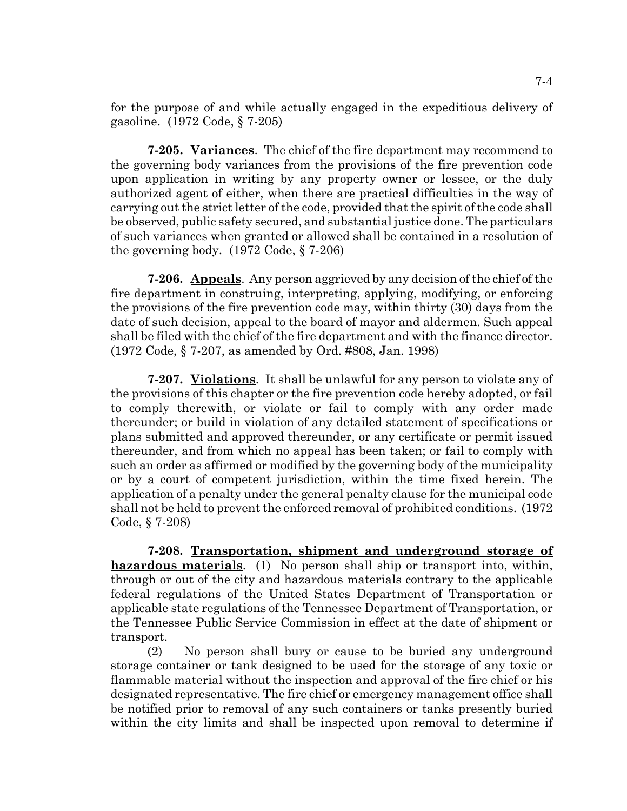for the purpose of and while actually engaged in the expeditious delivery of gasoline. (1972 Code, § 7-205)

**7-205. Variances**. The chief of the fire department may recommend to the governing body variances from the provisions of the fire prevention code upon application in writing by any property owner or lessee, or the duly authorized agent of either, when there are practical difficulties in the way of carrying out the strict letter of the code, provided that the spirit of the code shall be observed, public safety secured, and substantial justice done. The particulars of such variances when granted or allowed shall be contained in a resolution of the governing body. (1972 Code, § 7-206)

**7-206. Appeals**. Any person aggrieved by any decision of the chief of the fire department in construing, interpreting, applying, modifying, or enforcing the provisions of the fire prevention code may, within thirty (30) days from the date of such decision, appeal to the board of mayor and aldermen. Such appeal shall be filed with the chief of the fire department and with the finance director. (1972 Code, § 7-207, as amended by Ord. #808, Jan. 1998)

**7-207. Violations**. It shall be unlawful for any person to violate any of the provisions of this chapter or the fire prevention code hereby adopted, or fail to comply therewith, or violate or fail to comply with any order made thereunder; or build in violation of any detailed statement of specifications or plans submitted and approved thereunder, or any certificate or permit issued thereunder, and from which no appeal has been taken; or fail to comply with such an order as affirmed or modified by the governing body of the municipality or by a court of competent jurisdiction, within the time fixed herein. The application of a penalty under the general penalty clause for the municipal code shall not be held to prevent the enforced removal of prohibited conditions. (1972 Code, § 7-208)

**7-208. Transportation, shipment and underground storage of hazardous materials**. (1) No person shall ship or transport into, within, through or out of the city and hazardous materials contrary to the applicable federal regulations of the United States Department of Transportation or applicable state regulations of the Tennessee Department of Transportation, or the Tennessee Public Service Commission in effect at the date of shipment or transport.

(2) No person shall bury or cause to be buried any underground storage container or tank designed to be used for the storage of any toxic or flammable material without the inspection and approval of the fire chief or his designated representative. The fire chief or emergency management office shall be notified prior to removal of any such containers or tanks presently buried within the city limits and shall be inspected upon removal to determine if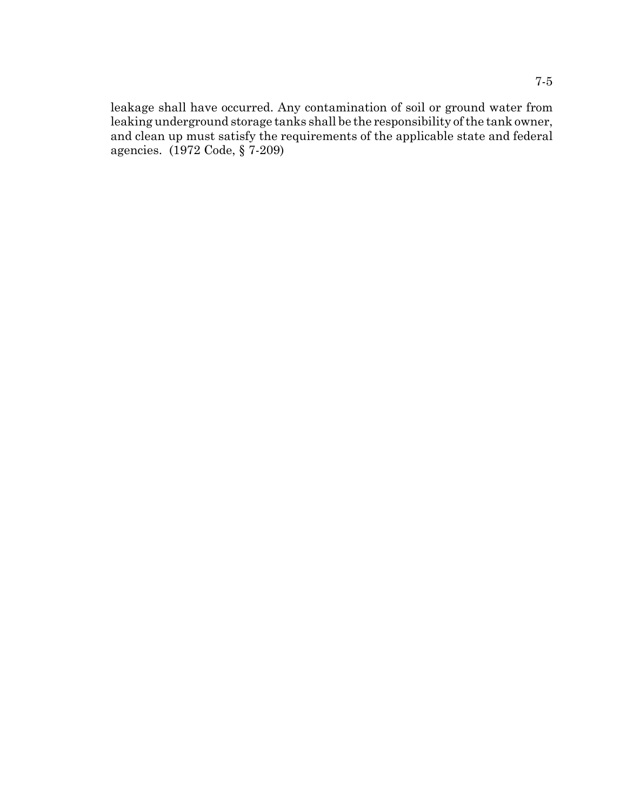leakage shall have occurred. Any contamination of soil or ground water from leaking underground storage tanks shall be the responsibility of the tank owner, and clean up must satisfy the requirements of the applicable state and federal agencies. (1972 Code, § 7-209)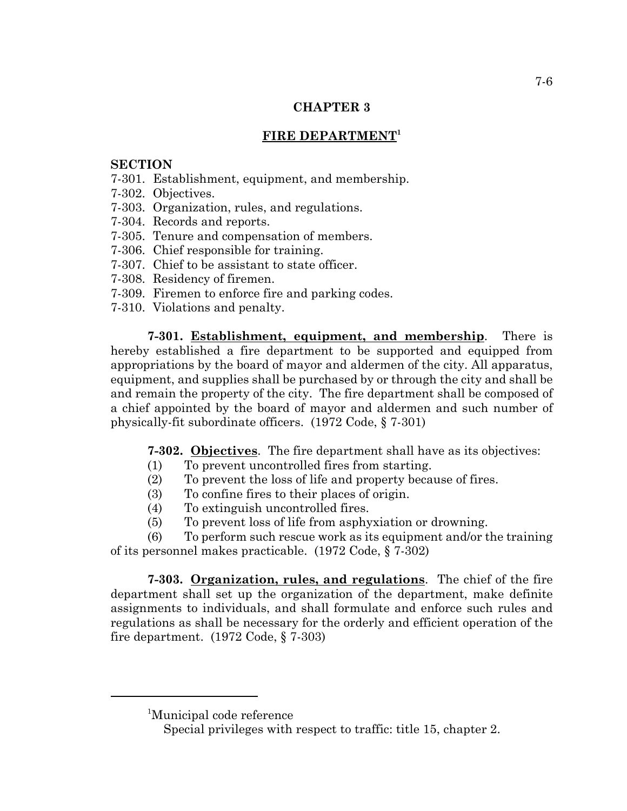# **FIRE DEPARTMENT1**

# **SECTION**

- 7-301. Establishment, equipment, and membership.
- 7-302. Objectives.
- 7-303. Organization, rules, and regulations.
- 7-304. Records and reports.
- 7-305. Tenure and compensation of members.
- 7-306. Chief responsible for training.
- 7-307. Chief to be assistant to state officer.
- 7-308. Residency of firemen.
- 7-309. Firemen to enforce fire and parking codes.
- 7-310. Violations and penalty.

**7-301. Establishment, equipment, and membership**. There is hereby established a fire department to be supported and equipped from appropriations by the board of mayor and aldermen of the city. All apparatus, equipment, and supplies shall be purchased by or through the city and shall be and remain the property of the city. The fire department shall be composed of a chief appointed by the board of mayor and aldermen and such number of physically-fit subordinate officers. (1972 Code, § 7-301)

**7-302. Objectives**. The fire department shall have as its objectives:

- (1) To prevent uncontrolled fires from starting.
- (2) To prevent the loss of life and property because of fires.
- (3) To confine fires to their places of origin.
- (4) To extinguish uncontrolled fires.
- (5) To prevent loss of life from asphyxiation or drowning.

(6) To perform such rescue work as its equipment and/or the training of its personnel makes practicable. (1972 Code, § 7-302)

**7-303. Organization, rules, and regulations**. The chief of the fire department shall set up the organization of the department, make definite assignments to individuals, and shall formulate and enforce such rules and regulations as shall be necessary for the orderly and efficient operation of the fire department. (1972 Code, § 7-303)

<sup>1</sup> Municipal code reference

Special privileges with respect to traffic: title 15, chapter 2.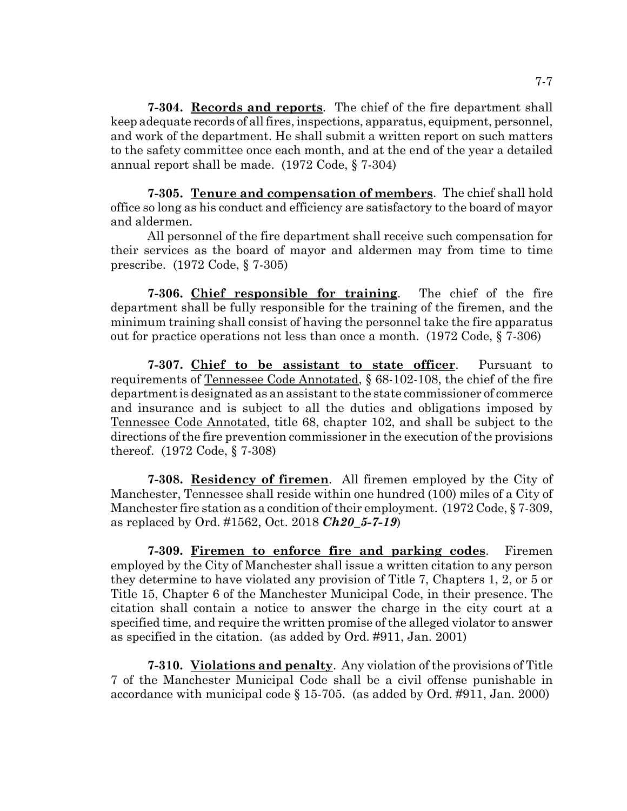**7-304. Records and reports**. The chief of the fire department shall keep adequate records of all fires, inspections, apparatus, equipment, personnel, and work of the department. He shall submit a written report on such matters to the safety committee once each month, and at the end of the year a detailed annual report shall be made. (1972 Code, § 7-304)

**7-305. Tenure and compensation of members**. The chief shall hold office so long as his conduct and efficiency are satisfactory to the board of mayor and aldermen.

All personnel of the fire department shall receive such compensation for their services as the board of mayor and aldermen may from time to time prescribe. (1972 Code, § 7-305)

**7-306. Chief responsible for training**. The chief of the fire department shall be fully responsible for the training of the firemen, and the minimum training shall consist of having the personnel take the fire apparatus out for practice operations not less than once a month. (1972 Code, § 7-306)

**7-307. Chief to be assistant to state officer**. Pursuant to requirements of Tennessee Code Annotated, § 68-102-108, the chief of the fire department is designated as an assistant to the state commissioner of commerce and insurance and is subject to all the duties and obligations imposed by Tennessee Code Annotated, title 68, chapter 102, and shall be subject to the directions of the fire prevention commissioner in the execution of the provisions thereof. (1972 Code, § 7-308)

**7-308. Residency of firemen**. All firemen employed by the City of Manchester, Tennessee shall reside within one hundred (100) miles of a City of Manchester fire station as a condition of their employment. (1972 Code, § 7-309, as replaced by Ord. #1562, Oct. 2018 *Ch20\_5-7-19*)

**7-309. Firemen to enforce fire and parking codes**. Firemen employed by the City of Manchester shall issue a written citation to any person they determine to have violated any provision of Title 7, Chapters 1, 2, or 5 or Title 15, Chapter 6 of the Manchester Municipal Code, in their presence. The citation shall contain a notice to answer the charge in the city court at a specified time, and require the written promise of the alleged violator to answer as specified in the citation. (as added by Ord. #911, Jan. 2001)

**7-310. Violations and penalty**. Any violation of the provisions of Title 7 of the Manchester Municipal Code shall be a civil offense punishable in accordance with municipal code § 15-705. (as added by Ord. #911, Jan. 2000)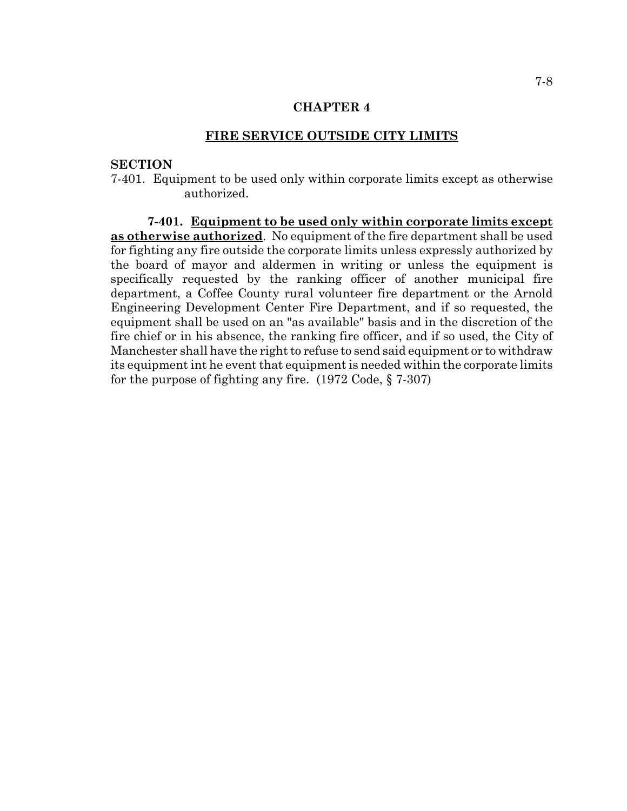### **FIRE SERVICE OUTSIDE CITY LIMITS**

# **SECTION**

7-401. Equipment to be used only within corporate limits except as otherwise authorized.

**7-401. Equipment to be used only within corporate limits except as otherwise authorized**. No equipment of the fire department shall be used for fighting any fire outside the corporate limits unless expressly authorized by the board of mayor and aldermen in writing or unless the equipment is specifically requested by the ranking officer of another municipal fire department, a Coffee County rural volunteer fire department or the Arnold Engineering Development Center Fire Department, and if so requested, the equipment shall be used on an "as available" basis and in the discretion of the fire chief or in his absence, the ranking fire officer, and if so used, the City of Manchester shall have the right to refuse to send said equipment or to withdraw its equipment int he event that equipment is needed within the corporate limits for the purpose of fighting any fire. (1972 Code, § 7-307)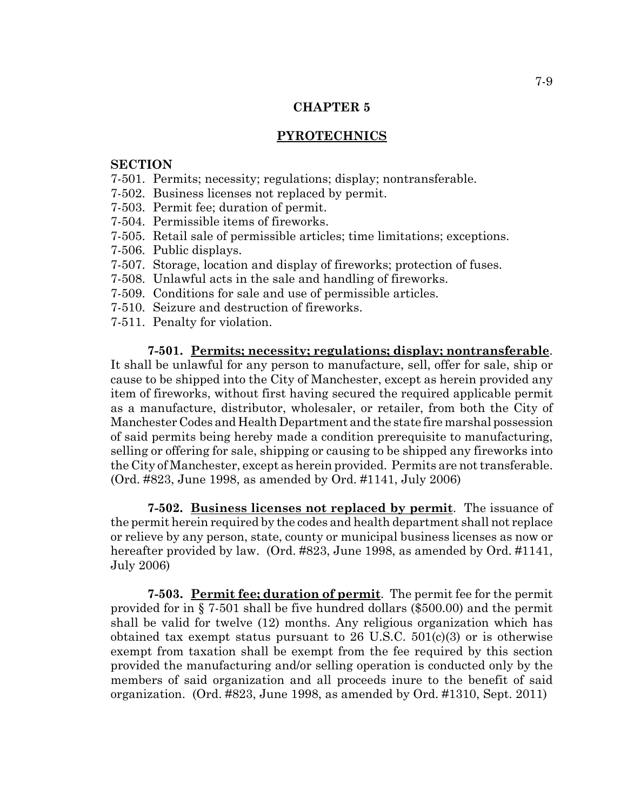## **PYROTECHNICS**

### **SECTION**

- 7-501. Permits; necessity; regulations; display; nontransferable.
- 7-502. Business licenses not replaced by permit.
- 7-503. Permit fee; duration of permit.
- 7-504. Permissible items of fireworks.
- 7-505. Retail sale of permissible articles; time limitations; exceptions.
- 7-506. Public displays.
- 7-507. Storage, location and display of fireworks; protection of fuses.
- 7-508. Unlawful acts in the sale and handling of fireworks.
- 7-509. Conditions for sale and use of permissible articles.
- 7-510. Seizure and destruction of fireworks.
- 7-511. Penalty for violation.

## **7-501. Permits; necessity; regulations; display; nontransferable**.

It shall be unlawful for any person to manufacture, sell, offer for sale, ship or cause to be shipped into the City of Manchester, except as herein provided any item of fireworks, without first having secured the required applicable permit as a manufacture, distributor, wholesaler, or retailer, from both the City of Manchester Codes and Health Department and the state fire marshal possession of said permits being hereby made a condition prerequisite to manufacturing, selling or offering for sale, shipping or causing to be shipped any fireworks into the City of Manchester, except as herein provided. Permits are not transferable. (Ord. #823, June 1998, as amended by Ord. #1141, July 2006)

**7-502. Business licenses not replaced by permit**. The issuance of the permit herein required by the codes and health department shall not replace or relieve by any person, state, county or municipal business licenses as now or hereafter provided by law. (Ord. #823, June 1998, as amended by Ord. #1141, July 2006)

**7-503. Permit fee; duration of permit**. The permit fee for the permit provided for in § 7-501 shall be five hundred dollars (\$500.00) and the permit shall be valid for twelve (12) months. Any religious organization which has obtained tax exempt status pursuant to  $26$  U.S.C.  $501(c)(3)$  or is otherwise exempt from taxation shall be exempt from the fee required by this section provided the manufacturing and/or selling operation is conducted only by the members of said organization and all proceeds inure to the benefit of said organization. (Ord. #823, June 1998, as amended by Ord. #1310, Sept. 2011)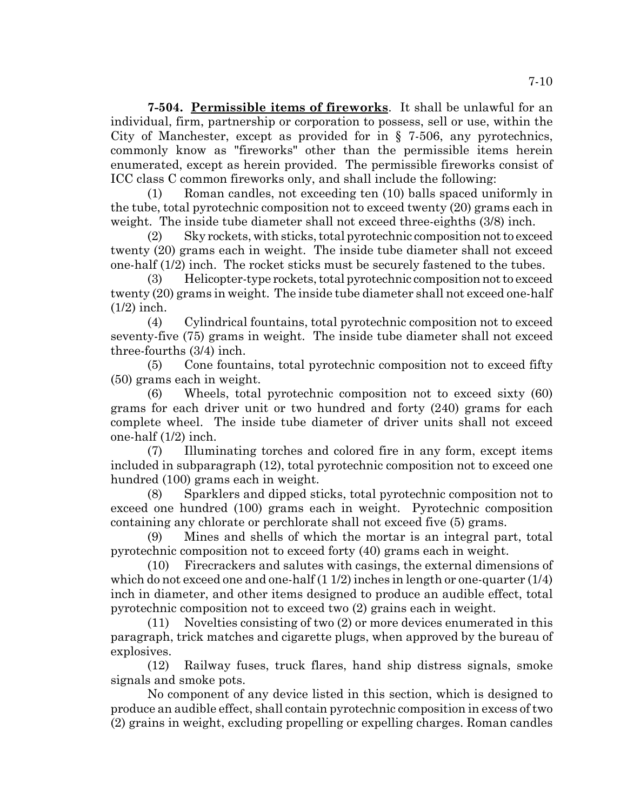**7-504. Permissible items of fireworks**. It shall be unlawful for an individual, firm, partnership or corporation to possess, sell or use, within the City of Manchester, except as provided for in § 7-506, any pyrotechnics, commonly know as "fireworks" other than the permissible items herein enumerated, except as herein provided. The permissible fireworks consist of ICC class C common fireworks only, and shall include the following:

(1) Roman candles, not exceeding ten (10) balls spaced uniformly in the tube, total pyrotechnic composition not to exceed twenty (20) grams each in weight. The inside tube diameter shall not exceed three-eighths (3/8) inch.

(2) Sky rockets, with sticks, total pyrotechnic composition not to exceed twenty (20) grams each in weight. The inside tube diameter shall not exceed one-half (1/2) inch. The rocket sticks must be securely fastened to the tubes.

(3) Helicopter-type rockets, total pyrotechnic composition not to exceed twenty (20) grams in weight. The inside tube diameter shall not exceed one-half (1/2) inch.

(4) Cylindrical fountains, total pyrotechnic composition not to exceed seventy-five (75) grams in weight. The inside tube diameter shall not exceed three-fourths (3/4) inch.

(5) Cone fountains, total pyrotechnic composition not to exceed fifty (50) grams each in weight.

(6) Wheels, total pyrotechnic composition not to exceed sixty (60) grams for each driver unit or two hundred and forty (240) grams for each complete wheel. The inside tube diameter of driver units shall not exceed one-half (1/2) inch.

(7) Illuminating torches and colored fire in any form, except items included in subparagraph (12), total pyrotechnic composition not to exceed one hundred (100) grams each in weight.

(8) Sparklers and dipped sticks, total pyrotechnic composition not to exceed one hundred (100) grams each in weight. Pyrotechnic composition containing any chlorate or perchlorate shall not exceed five (5) grams.

(9) Mines and shells of which the mortar is an integral part, total pyrotechnic composition not to exceed forty (40) grams each in weight.

(10) Firecrackers and salutes with casings, the external dimensions of which do not exceed one and one-half  $(1 1/2)$  inches in length or one-quarter  $(1/4)$ inch in diameter, and other items designed to produce an audible effect, total pyrotechnic composition not to exceed two (2) grains each in weight.

(11) Novelties consisting of two (2) or more devices enumerated in this paragraph, trick matches and cigarette plugs, when approved by the bureau of explosives.

(12) Railway fuses, truck flares, hand ship distress signals, smoke signals and smoke pots.

No component of any device listed in this section, which is designed to produce an audible effect, shall contain pyrotechnic composition in excess of two (2) grains in weight, excluding propelling or expelling charges. Roman candles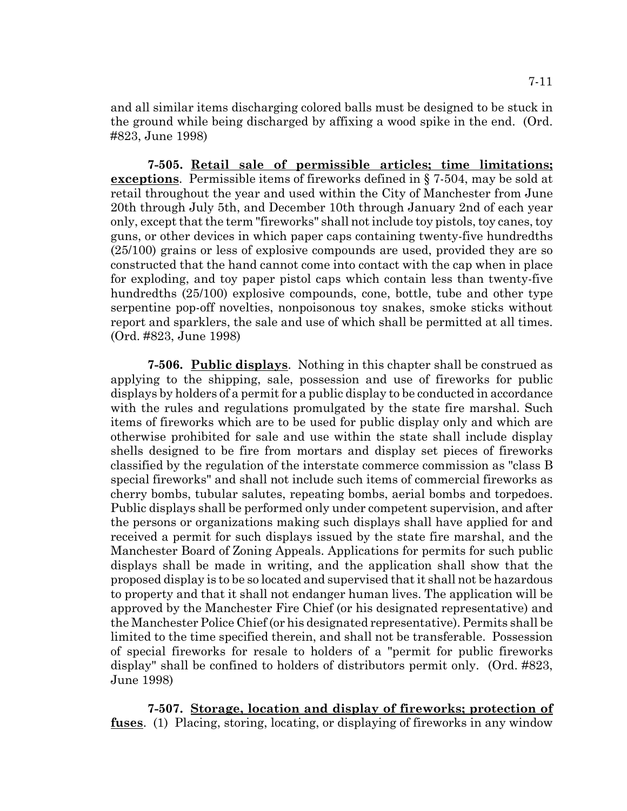and all similar items discharging colored balls must be designed to be stuck in the ground while being discharged by affixing a wood spike in the end. (Ord. #823, June 1998)

**7-505. Retail sale of permissible articles; time limitations; exceptions**. Permissible items of fireworks defined in § 7-504, may be sold at retail throughout the year and used within the City of Manchester from June 20th through July 5th, and December 10th through January 2nd of each year only, except that the term "fireworks" shall not include toy pistols, toy canes, toy guns, or other devices in which paper caps containing twenty-five hundredths (25/100) grains or less of explosive compounds are used, provided they are so constructed that the hand cannot come into contact with the cap when in place for exploding, and toy paper pistol caps which contain less than twenty-five hundredths (25/100) explosive compounds, cone, bottle, tube and other type serpentine pop-off novelties, nonpoisonous toy snakes, smoke sticks without report and sparklers, the sale and use of which shall be permitted at all times. (Ord. #823, June 1998)

**7-506. Public displays**. Nothing in this chapter shall be construed as applying to the shipping, sale, possession and use of fireworks for public displays by holders of a permit for a public display to be conducted in accordance with the rules and regulations promulgated by the state fire marshal. Such items of fireworks which are to be used for public display only and which are otherwise prohibited for sale and use within the state shall include display shells designed to be fire from mortars and display set pieces of fireworks classified by the regulation of the interstate commerce commission as "class B special fireworks" and shall not include such items of commercial fireworks as cherry bombs, tubular salutes, repeating bombs, aerial bombs and torpedoes. Public displays shall be performed only under competent supervision, and after the persons or organizations making such displays shall have applied for and received a permit for such displays issued by the state fire marshal, and the Manchester Board of Zoning Appeals. Applications for permits for such public displays shall be made in writing, and the application shall show that the proposed display is to be so located and supervised that it shall not be hazardous to property and that it shall not endanger human lives. The application will be approved by the Manchester Fire Chief (or his designated representative) and the Manchester Police Chief (or his designated representative). Permits shall be limited to the time specified therein, and shall not be transferable. Possession of special fireworks for resale to holders of a "permit for public fireworks display" shall be confined to holders of distributors permit only. (Ord. #823, June 1998)

**7-507. Storage, location and display of fireworks; protection of fuses**. (1) Placing, storing, locating, or displaying of fireworks in any window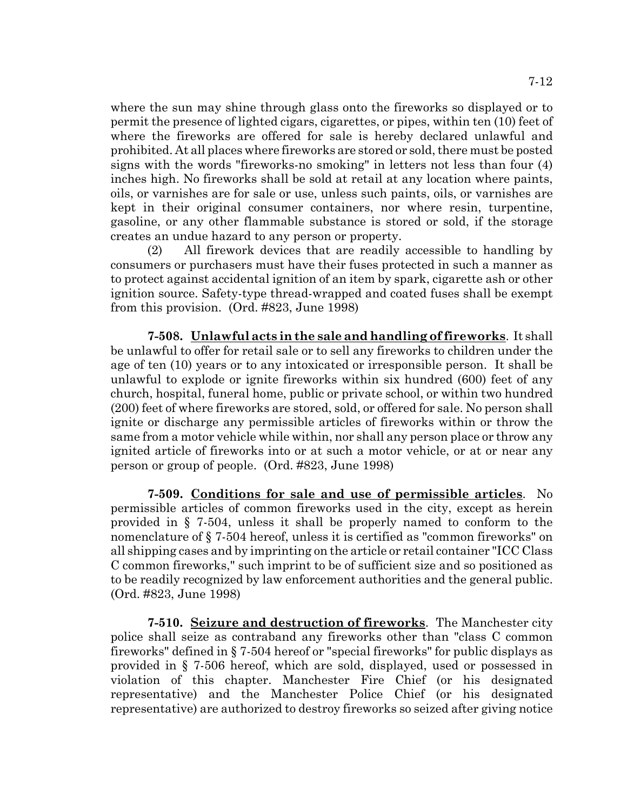where the sun may shine through glass onto the fireworks so displayed or to permit the presence of lighted cigars, cigarettes, or pipes, within ten (10) feet of where the fireworks are offered for sale is hereby declared unlawful and prohibited. At all places where fireworks are stored or sold, there must be posted signs with the words "fireworks-no smoking" in letters not less than four (4) inches high. No fireworks shall be sold at retail at any location where paints, oils, or varnishes are for sale or use, unless such paints, oils, or varnishes are kept in their original consumer containers, nor where resin, turpentine, gasoline, or any other flammable substance is stored or sold, if the storage creates an undue hazard to any person or property.

(2) All firework devices that are readily accessible to handling by consumers or purchasers must have their fuses protected in such a manner as to protect against accidental ignition of an item by spark, cigarette ash or other ignition source. Safety-type thread-wrapped and coated fuses shall be exempt from this provision. (Ord. #823, June 1998)

**7-508. Unlawful acts in the sale and handling of fireworks**. It shall be unlawful to offer for retail sale or to sell any fireworks to children under the age of ten (10) years or to any intoxicated or irresponsible person. It shall be unlawful to explode or ignite fireworks within six hundred (600) feet of any church, hospital, funeral home, public or private school, or within two hundred (200) feet of where fireworks are stored, sold, or offered for sale. No person shall ignite or discharge any permissible articles of fireworks within or throw the same from a motor vehicle while within, nor shall any person place or throw any ignited article of fireworks into or at such a motor vehicle, or at or near any person or group of people. (Ord. #823, June 1998)

**7-509. Conditions for sale and use of permissible articles**. No permissible articles of common fireworks used in the city, except as herein provided in § 7-504, unless it shall be properly named to conform to the nomenclature of § 7-504 hereof, unless it is certified as "common fireworks" on all shipping cases and by imprinting on the article or retail container "ICC Class C common fireworks," such imprint to be of sufficient size and so positioned as to be readily recognized by law enforcement authorities and the general public. (Ord. #823, June 1998)

**7-510. Seizure and destruction of fireworks**. The Manchester city police shall seize as contraband any fireworks other than "class C common fireworks" defined in § 7-504 hereof or "special fireworks" for public displays as provided in § 7-506 hereof, which are sold, displayed, used or possessed in violation of this chapter. Manchester Fire Chief (or his designated representative) and the Manchester Police Chief (or his designated representative) are authorized to destroy fireworks so seized after giving notice